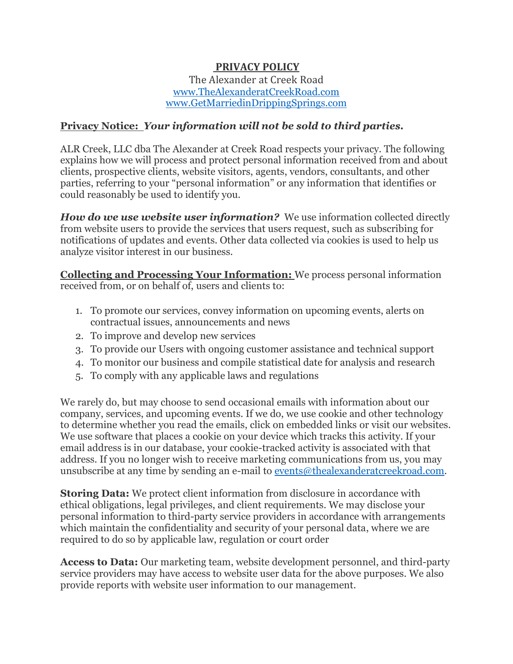# **PRIVACY POLICY**

#### The Alexander at Creek Road [www.TheAlexanderatCreekRoad.com](file:///C:/Users/theal/Desktop/GRAPHICS/REFERENCEgraphicsandmisc/www.TheAlexanderatCreekRoad.com) [www.GetMarriedinDrippingSprings.com](http://www.getmarriedindrippingsprings.com/)

## **Privacy Notice:** *Your information will not be sold to third parties.*

ALR Creek, LLC dba The Alexander at Creek Road respects your privacy. The following explains how we will process and protect personal information received from and about clients, prospective clients, website visitors, agents, vendors, consultants, and other parties, referring to your "personal information" or any information that identifies or could reasonably be used to identify you.

*How do we use website user information?* We use information collected directly from website users to provide the services that users request, such as subscribing for notifications of updates and events. Other data collected via cookies is used to help us analyze visitor interest in our business.

**Collecting and Processing Your Information:** We process personal information received from, or on behalf of, users and clients to:

- 1. To promote our services, convey information on upcoming events, alerts on contractual issues, announcements and news
- 2. To improve and develop new services
- 3. To provide our Users with ongoing customer assistance and technical support
- 4. To monitor our business and compile statistical date for analysis and research
- 5. To comply with any applicable laws and regulations

We rarely do, but may choose to send occasional emails with information about our company, services, and upcoming events. If we do, we use cookie and other technology to determine whether you read the emails, click on embedded links or visit our websites. We use software that places a cookie on your device which tracks this activity. If your email address is in our database, your cookie-tracked activity is associated with that address. If you no longer wish to receive marketing communications from us, you may unsubscribe at any time by sending an e-mail to [events@thealexanderatcreekroad.com.](mailto:events@thealexanderatcreekroad.com)

**Storing Data:** We protect client information from disclosure in accordance with ethical obligations, legal privileges, and client requirements. We may disclose your personal information to third-party service providers in accordance with arrangements which maintain the confidentiality and security of your personal data, where we are required to do so by applicable law, regulation or court order

**Access to Data:** Our marketing team, website development personnel, and third-party service providers may have access to website user data for the above purposes. We also provide reports with website user information to our management.